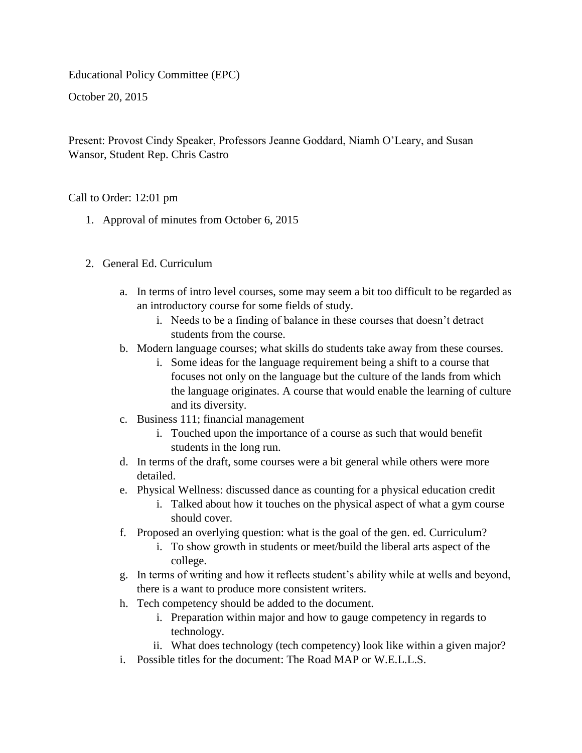Educational Policy Committee (EPC)

October 20, 2015

Present: Provost Cindy Speaker, Professors Jeanne Goddard, Niamh O'Leary, and Susan Wansor, Student Rep. Chris Castro

Call to Order: 12:01 pm

- 1. Approval of minutes from October 6, 2015
- 2. General Ed. Curriculum
	- a. In terms of intro level courses, some may seem a bit too difficult to be regarded as an introductory course for some fields of study.
		- i. Needs to be a finding of balance in these courses that doesn't detract students from the course.
	- b. Modern language courses; what skills do students take away from these courses.
		- i. Some ideas for the language requirement being a shift to a course that focuses not only on the language but the culture of the lands from which the language originates. A course that would enable the learning of culture and its diversity.
	- c. Business 111; financial management
		- i. Touched upon the importance of a course as such that would benefit students in the long run.
	- d. In terms of the draft, some courses were a bit general while others were more detailed.
	- e. Physical Wellness: discussed dance as counting for a physical education credit
		- i. Talked about how it touches on the physical aspect of what a gym course should cover.
	- f. Proposed an overlying question: what is the goal of the gen. ed. Curriculum?
		- i. To show growth in students or meet/build the liberal arts aspect of the college.
	- g. In terms of writing and how it reflects student's ability while at wells and beyond, there is a want to produce more consistent writers.
	- h. Tech competency should be added to the document.
		- i. Preparation within major and how to gauge competency in regards to technology.
		- ii. What does technology (tech competency) look like within a given major?
	- i. Possible titles for the document: The Road MAP or W.E.L.L.S.